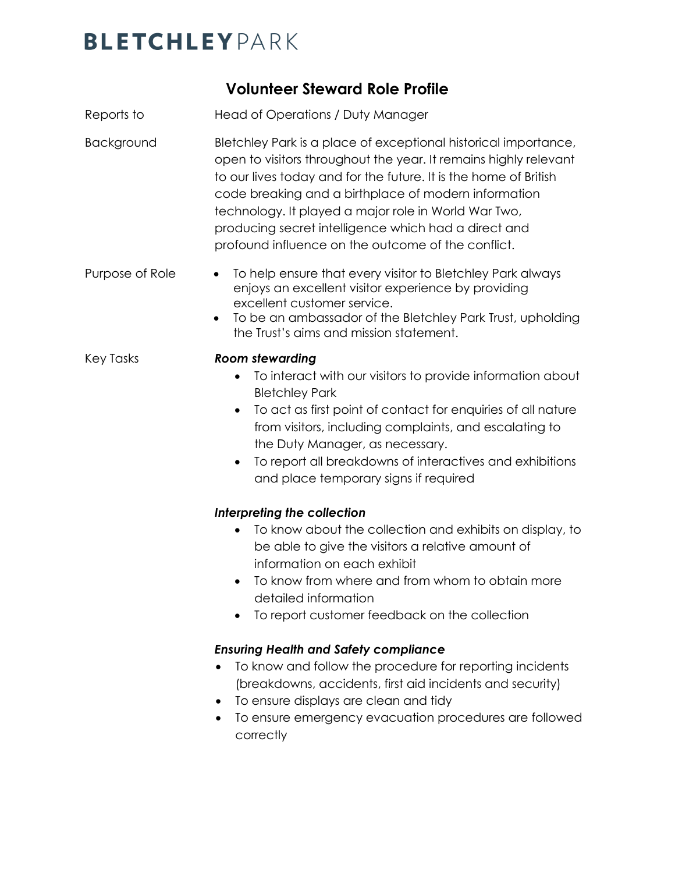## **BLETCHLEY** PARK

### **Volunteer Steward Role Profile**

- Reports to Head of Operations / Duty Manager
- Background Bletchley Park is a place of exceptional historical importance, open to visitors throughout the year. It remains highly relevant to our lives today and for the future. It is the home of British code breaking and a birthplace of modern information technology. It played a major role in World War Two, producing secret intelligence which had a direct and profound influence on the outcome of the conflict.
- Purpose of Role To help ensure that every visitor to Bletchley Park always enjoys an excellent visitor experience by providing excellent customer service.
	- To be an ambassador of the Bletchley Park Trust, upholding the Trust's aims and mission statement.

#### Key Tasks *Room stewarding*

- To interact with our visitors to provide information about Bletchley Park
- To act as first point of contact for enquiries of all nature from visitors, including complaints, and escalating to the Duty Manager, as necessary.
- To report all breakdowns of interactives and exhibitions and place temporary signs if required

#### *Interpreting the collection*

- To know about the collection and exhibits on display, to be able to give the visitors a relative amount of information on each exhibit
- To know from where and from whom to obtain more detailed information
- To report customer feedback on the collection

#### *Ensuring Health and Safety compliance*

- To know and follow the procedure for reporting incidents (breakdowns, accidents, first aid incidents and security)
- To ensure displays are clean and tidy
- To ensure emergency evacuation procedures are followed correctly